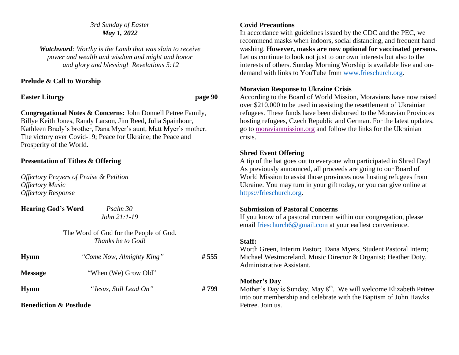## *3rd Sunday of Easter May 1, 2022*

*Watchword: Worthy is the Lamb that was slain to receive power and wealth and wisdom and might and honor and glory and blessing! Revelations 5:12*

# **Prelude & Call to Worship**

**Easter Liturgy page 90**

**Congregational Notes & Concerns:** John Donnell Petree Family, Billye Keith Jones, Randy Larson, Jim Reed, Julia Spainhour, Kathleen Brady's brother, Dana Myer's aunt, Matt Myer's mother. The victory over Covid-19; Peace for Ukraine; the Peace and Prosperity of the World.

# **Presentation of Tithes & Offering**

*Offertory Prayers of Praise & Petition Offertory Music Offertory Response*

| <b>Hearing God's Word</b> |  |
|---------------------------|--|
|                           |  |

*Psalm 30 John 21:1-19*

The Word of God for the People of God. *Thanks be to God!*

| <b>Hymn</b>    | "Come Now, Almighty King" | #555  |
|----------------|---------------------------|-------|
| <b>Message</b> | "When (We) Grow Old"      |       |
| <b>Hymn</b>    | "Jesus, Still Lead On"    | # 799 |

**Benediction & Postlude**

# **Covid Precautions**

In accordance with guidelines issued by the CDC and the PEC, we recommend masks when indoors, social distancing, and frequent hand washing. **However, masks are now optional for vaccinated persons.** Let us continue to look not just to our own interests but also to the interests of others. Sunday Morning Worship is available live and ondemand with links to YouTube from [www.frieschurch.org.](http://www.frieschurch.org/)

# **Moravian Response to Ukraine Crisis**

According to the Board of World Mission, Moravians have now raised over \$210,000 to be used in assisting the resettlement of Ukrainian refugees. These funds have been disbursed to the Moravian Provinces hosting refugees, Czech Republic and German. For the latest updates, go to [moravianmission.org](http://moravianmission.org/) and follow the links for the Ukrainian crisis.

# **Shred Event Offering**

A tip of the hat goes out to everyone who participated in Shred Day! As previously announced, all proceeds are going to our Board of World Mission to assist those provinces now hosting refugees from Ukraine. You may turn in your gift today, or you can give online at [https://frieschurch.org.](https://frieschurch.org/)

## **Submission of Pastoral Concerns**

If you know of a pastoral concern within our congregation, please email [frieschurch6@gmail.com](mailto:frieschurch6@gmail.com) at your earliest convenience.

## **Staff:**

Worth Green, Interim Pastor; Dana Myers, Student Pastoral Intern; Michael Westmoreland, Music Director & Organist; Heather Doty, Administrative Assistant.

# **Mother's Day**

Mother's Day is Sunday, May  $8<sup>th</sup>$ . We will welcome Elizabeth Petree into our membership and celebrate with the Baptism of John Hawks Petree. Join us.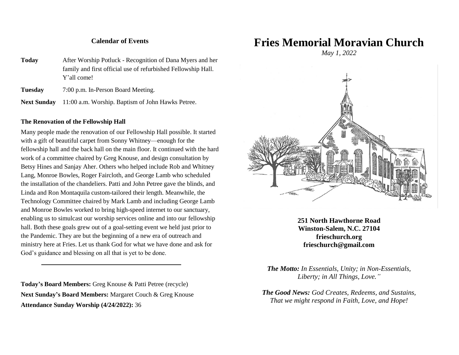#### **Calendar of Events**

**Today** After Worship Potluck - Recognition of Dana Myers and her family and first official use of refurbished Fellowship Hall. Y'all come!

**Tuesday** 7:00 p.m. In-Person Board Meeting.

**Next Sunday** 11:00 a.m. Worship. Baptism of John Hawks Petree.

#### **The Renovation of the Fellowship Hall**

Many people made the renovation of our Fellowship Hall possible. It started with a gift of beautiful carpet from Sonny Whitney—enough for the fellowship hall and the back hall on the main floor. It continued with the hard work of a committee chaired by Greg Knouse, and design consultation by Betsy Hines and Sanjay Aher. Others who helped include Rob and Whitney Lang, Monroe Bowles, Roger Faircloth, and George Lamb who scheduled the installation of the chandeliers. Patti and John Petree gave the blinds, and Linda and Ron Montaquila custom-tailored their length. Meanwhile, the Technology Committee chaired by Mark Lamb and including George Lamb and Monroe Bowles worked to bring high-speed internet to our sanctuary, enabling us to simulcast our worship services online and into our fellowship hall. Both these goals grew out of a goal-setting event we held just prior to the Pandemic. They are but the beginning of a new era of outreach and ministry here at Fries. Let us thank God for what we have done and ask for God's guidance and blessing on all that is yet to be done.

**Today's Board Members:** Greg Knouse & Patti Petree (recycle) **Next Sunday's Board Members:** Margaret Couch & Greg Knouse **Attendance Sunday Worship (4/24/2022):** 36

**Fries Memorial Moravian Church**

*May 1, 2022*



**251 North Hawthorne Road Winston-Salem, N.C. 27104 frieschurch.org frieschurch@gmail.com**

*The Motto: In Essentials, Unity; in Non-Essentials, Liberty; in All Things, Love."*

*The Good News: God Creates, Redeems, and Sustains, That we might respond in Faith, Love, and Hope!*